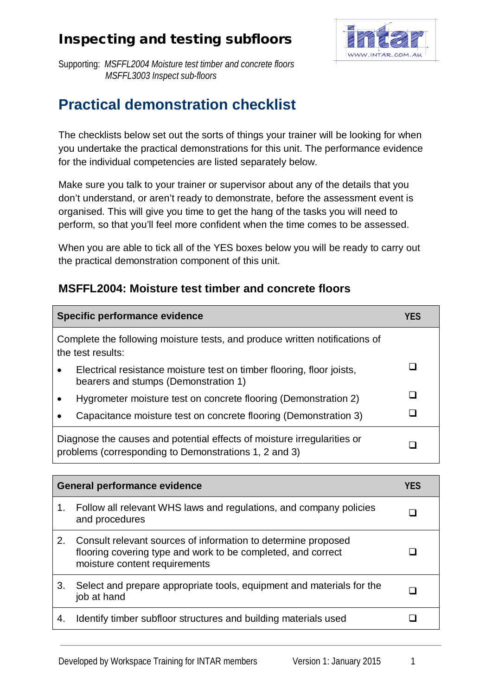

Supporting: *MSFFL2004 Moisture test timber and concrete floors MSFFL3003 Inspect sub-floors*

# **Practical demonstration checklist**

The checklists below set out the sorts of things your trainer will be looking for when you undertake the practical demonstrations for this unit. The performance evidence for the individual competencies are listed separately below.

Make sure you talk to your trainer or supervisor about any of the details that you don't understand, or aren't ready to demonstrate, before the assessment event is organised. This will give you time to get the hang of the tasks you will need to perform, so that you'll feel more confident when the time comes to be assessed.

When you are able to tick all of the YES boxes below you will be ready to carry out the practical demonstration component of this unit.

#### **MSFFL2004: Moisture test timber and concrete floors**

|                                                                                                                                  | Specific performance evidence                                                                                 |  |
|----------------------------------------------------------------------------------------------------------------------------------|---------------------------------------------------------------------------------------------------------------|--|
| Complete the following moisture tests, and produce written notifications of<br>the test results:                                 |                                                                                                               |  |
|                                                                                                                                  | Electrical resistance moisture test on timber flooring, floor joists,<br>bearers and stumps (Demonstration 1) |  |
|                                                                                                                                  | Hygrometer moisture test on concrete flooring (Demonstration 2)                                               |  |
|                                                                                                                                  | Capacitance moisture test on concrete flooring (Demonstration 3)                                              |  |
| Diagnose the causes and potential effects of moisture irregularities or<br>problems (corresponding to Demonstrations 1, 2 and 3) |                                                                                                               |  |

| <b>General performance evidence</b> |                                                                                                                                                                | YES |
|-------------------------------------|----------------------------------------------------------------------------------------------------------------------------------------------------------------|-----|
| 1.                                  | Follow all relevant WHS laws and regulations, and company policies<br>and procedures                                                                           |     |
| 2.                                  | Consult relevant sources of information to determine proposed<br>flooring covering type and work to be completed, and correct<br>moisture content requirements |     |
| 3.                                  | Select and prepare appropriate tools, equipment and materials for the<br>job at hand                                                                           |     |
| 4.                                  | Identify timber subfloor structures and building materials used                                                                                                |     |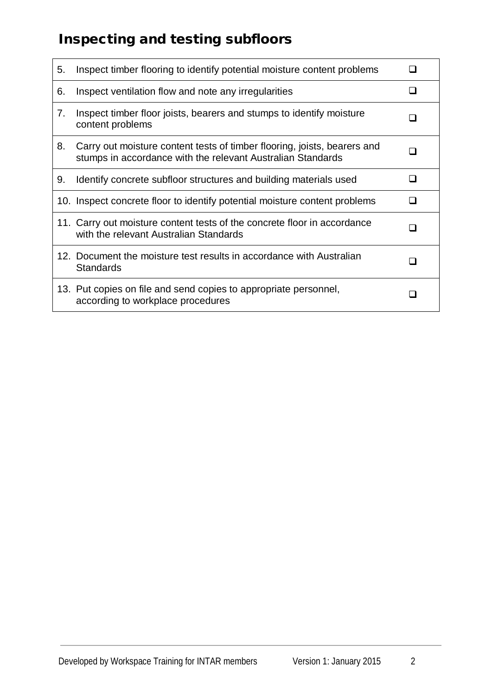| 5. | Inspect timber flooring to identify potential moisture content problems                                                                 |  |
|----|-----------------------------------------------------------------------------------------------------------------------------------------|--|
| 6. | Inspect ventilation flow and note any irregularities                                                                                    |  |
| 7. | Inspect timber floor joists, bearers and stumps to identify moisture<br>content problems                                                |  |
| 8. | Carry out moisture content tests of timber flooring, joists, bearers and<br>stumps in accordance with the relevant Australian Standards |  |
| 9. | Identify concrete subfloor structures and building materials used                                                                       |  |
|    | 10. Inspect concrete floor to identify potential moisture content problems                                                              |  |
|    | 11. Carry out moisture content tests of the concrete floor in accordance<br>with the relevant Australian Standards                      |  |
|    | 12. Document the moisture test results in accordance with Australian<br><b>Standards</b>                                                |  |
|    | 13. Put copies on file and send copies to appropriate personnel,<br>according to workplace procedures                                   |  |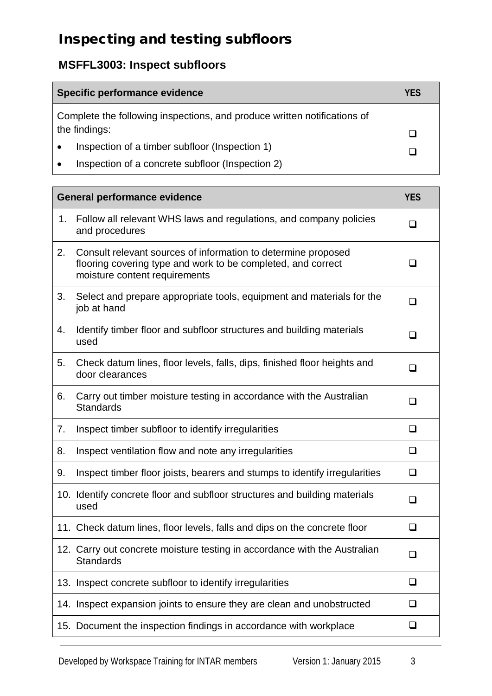#### **MSFFL3003: Inspect subfloors**

| Specific performance evidence                                            | YFS |
|--------------------------------------------------------------------------|-----|
| Complete the following inspections, and produce written notifications of |     |
| the findings:                                                            |     |
| Inspection of a timber subfloor (Inspection 1)                           |     |
| Inspection of a concrete subfloor (Inspection 2)                         |     |

| <b>General performance evidence</b> |                                                                                                                                                                | <b>YES</b>     |
|-------------------------------------|----------------------------------------------------------------------------------------------------------------------------------------------------------------|----------------|
| 1.                                  | Follow all relevant WHS laws and regulations, and company policies<br>and procedures                                                                           | $\Box$         |
| 2.                                  | Consult relevant sources of information to determine proposed<br>flooring covering type and work to be completed, and correct<br>moisture content requirements | $\blacksquare$ |
| 3.                                  | Select and prepare appropriate tools, equipment and materials for the<br>job at hand                                                                           | ❏              |
| 4.                                  | Identify timber floor and subfloor structures and building materials<br>used                                                                                   | ◻              |
| 5.                                  | Check datum lines, floor levels, falls, dips, finished floor heights and<br>door clearances                                                                    | $\Box$         |
| 6.                                  | Carry out timber moisture testing in accordance with the Australian<br><b>Standards</b>                                                                        | $\Box$         |
| 7.                                  | Inspect timber subfloor to identify irregularities                                                                                                             | ❏              |
| 8.                                  | Inspect ventilation flow and note any irregularities                                                                                                           | ❏              |
| 9.                                  | Inspect timber floor joists, bearers and stumps to identify irregularities                                                                                     | ❏              |
|                                     | 10. Identify concrete floor and subfloor structures and building materials<br>used                                                                             | ◻              |
|                                     | 11. Check datum lines, floor levels, falls and dips on the concrete floor                                                                                      | $\Box$         |
|                                     | 12. Carry out concrete moisture testing in accordance with the Australian<br><b>Standards</b>                                                                  | ❏              |
|                                     | 13. Inspect concrete subfloor to identify irregularities                                                                                                       | ❏              |
|                                     | 14. Inspect expansion joints to ensure they are clean and unobstructed                                                                                         | ❏              |
|                                     | 15. Document the inspection findings in accordance with workplace                                                                                              | ❏              |